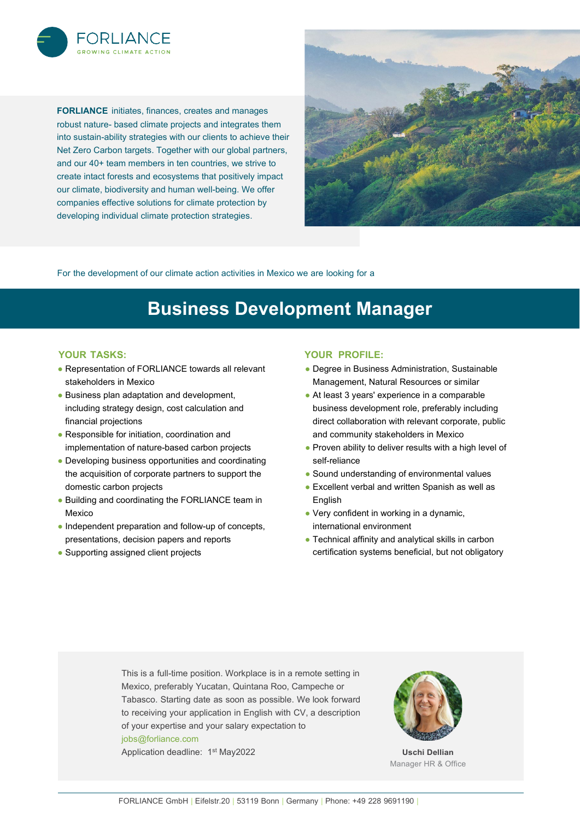

**FORLIANCE** initiates, finances, creates and manages robust nature- based climate projects and integrates them into sustain-ability strategies with our clients to achieve their Net Zero Carbon targets. Together with our global partners, and our 40+ team members in ten countries, we strive to create intact forests and ecosystems that positively impact our climate, biodiversity and human well-being. We offer companies effective solutions for climate protection by developing individual climate protection strategies.



For the development of our climate action activities in Mexico we are looking for a

# **Business Development Manager**

#### **YOUR TASKS:**

- Representation of FORLIANCE towards all relevant stakeholders in Mexico
- Business plan adaptation and development, including strategy design, cost calculation and financial projections
- Responsible for initiation, coordination and implementation of nature-based carbon projects
- Developing business opportunities and coordinating the acquisition of corporate partners to support the domestic carbon projects
- Building and coordinating the FORLIANCE team in Mexico
- Independent preparation and follow-up of concepts, presentations, decision papers and reports
- Supporting assigned client projects

#### **YOUR PROFILE:**

- Degree in Business Administration, Sustainable Management, Natural Resources or similar
- At least 3 years' experience in a comparable business development role, preferably including direct collaboration with relevant corporate, public and community stakeholders in Mexico
- Proven ability to deliver results with a high level of self-reliance
- Sound understanding of environmental values
- Excellent verbal and written Spanish as well as English
- Very confident in working in a dynamic, international environment
- Technical affinity and analytical skills in carbon certification systems beneficial, but not obligatory

This is a full-time position. Workplace is in a remote setting in Mexico, preferably Yucatan, Quintana Roo, Campeche or Tabasco. Starting date as soon as possible. We look forward to receiving your application in English with CV, a description of your expertise and your salary expectation to [jobs@forliance.com](mailto:jobs@forliance.com)

Application deadline: 1<sup>st</sup> May2022



**Uschi Dellian** Manager HR & Office